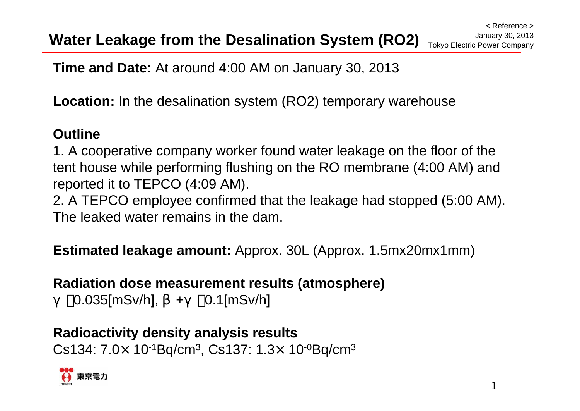**Time and Date:** At around 4:00 AM on January 30, 2013

**Location:** In the desalination system (RO2) temporary warehouse

#### **Outline**

1. A cooperative company worker found water leakage on the floor of the tent house while performing flushing on the RO membrane (4:00 AM) and reported it to TEPCO (4:09 AM).

2. A TEPCO employee confirmed that the leakage had stopped (5:00 AM). The leaked water remains in the dam.

**Estimated leakage amount:** Approx. 30L (Approx. 1.5mx20mx1mm)

#### **Radiation dose measurement results (atmosphere)**

0.035[mSv/h], +0.1[mSv/h]

**Radioactivity density analysis results**  $\mathsf{Cs134}\text{:}~7.0\!\times\text{ }10\text{-}1\mathsf{Bq/cm^3},\,\mathsf{Cs137}\text{:}~1.3\!\times\text{ }10\text{-}^0\mathsf{Bq/cm^3}$ 

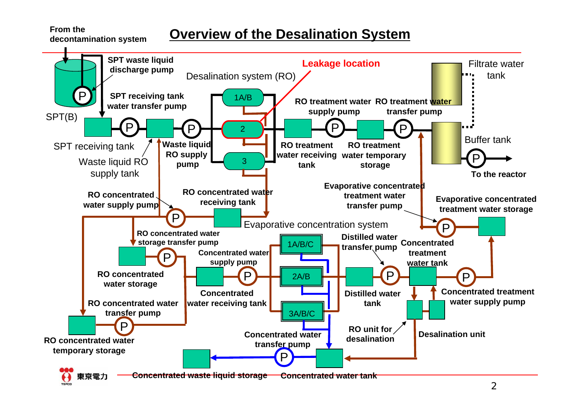# **Overview of the Desalination System From the decontamination system**

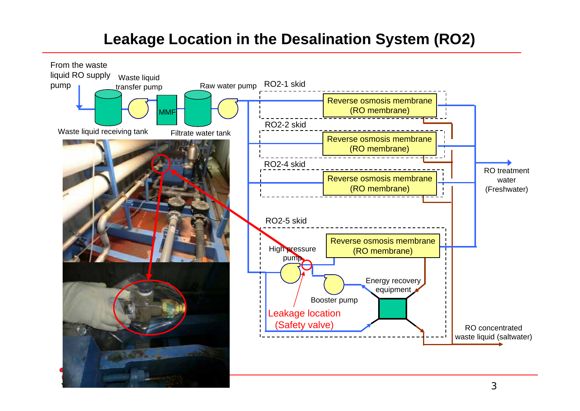# **Leakage Location in the Desalination System (RO2)**